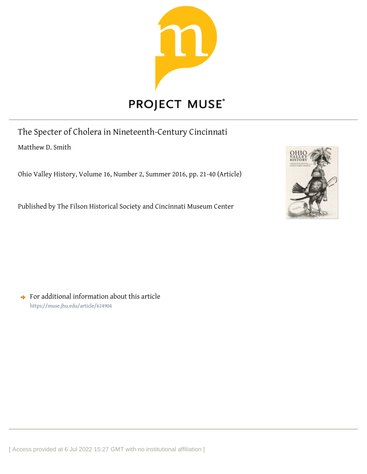

The Specter of Cholera in Nineteenth-Century Cincinnati Matthew D. Smith

Ohio Valley History, Volume 16, Number 2, Summer 2016, pp. 21-40 (Article)

Published by The Filson Historical Society and Cincinnati Museum Center



 $\rightarrow$  For additional information about this article <https://muse.jhu.edu/article/624904>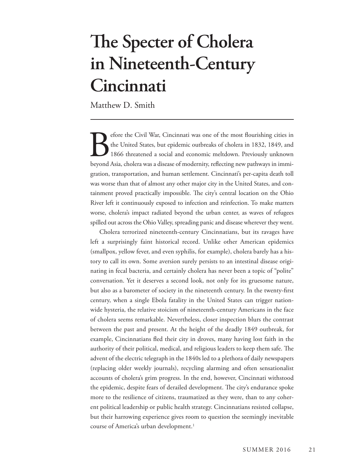## **The Specter of Cholera in Nineteenth-Century Cincinnati**

Matthew D. Smith

Experience the Civil War, Cincinnati was one of the most flourishing cities in the United States, but epidemic outbreaks of cholera in 1832, 1849, and 1866 threatened a social and economic meltdown. Previously unknown beyo the United States, but epidemic outbreaks of cholera in 1832, 1849, and 1866 threatened a social and economic meltdown. Previously unknown beyond Asia, cholera was a disease of modernity, reflecting new pathways in immigration, transportation, and human settlement. Cincinnati's per-capita death toll was worse than that of almost any other major city in the United States, and containment proved practically impossible. The city's central location on the Ohio River left it continuously exposed to infection and reinfection. To make matters worse, cholera's impact radiated beyond the urban center, as waves of refugees spilled out across the Ohio Valley, spreading panic and disease wherever they went.

Cholera terrorized nineteenth-century Cincinnatians, but its ravages have left a surprisingly faint historical record. Unlike other American epidemics (smallpox, yellow fever, and even syphilis, for example), cholera barely has a history to call its own. Some aversion surely persists to an intestinal disease originating in fecal bacteria, and certainly cholera has never been a topic of "polite" conversation. Yet it deserves a second look, not only for its gruesome nature, but also as a barometer of society in the nineteenth century. In the twenty-first century, when a single Ebola fatality in the United States can trigger nationwide hysteria, the relative stoicism of nineteenth-century Americans in the face of cholera seems remarkable. Nevertheless, closer inspection blurs the contrast between the past and present. At the height of the deadly 1849 outbreak, for example, Cincinnatians fled their city in droves, many having lost faith in the authority of their political, medical, and religious leaders to keep them safe. The advent of the electric telegraph in the 1840s led to a plethora of daily newspapers (replacing older weekly journals), recycling alarming and often sensationalist accounts of cholera's grim progress. In the end, however, Cincinnati withstood the epidemic, despite fears of derailed development. The city's endurance spoke more to the resilience of citizens, traumatized as they were, than to any coherent political leadership or public health strategy. Cincinnatians resisted collapse, but their harrowing experience gives room to question the seemingly inevitable course of America's urban development.<sup>1</sup>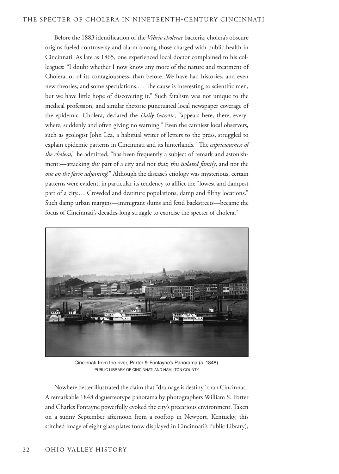Before the 1883 identification of the *Vibrio cholerae* bacteria, cholera's obscure origins fueled controversy and alarm among those charged with public health in Cincinnati. As late as 1865, one experienced local doctor complained to his colleagues: "I doubt whether I now know any more of the nature and treatment of Cholera, or of its contagiousness, than before. We have had histories, and even new theories, and some speculations.… The cause is interesting to scientific men, but we have little hope of discovering it." Such fatalism was not unique to the medical profession, and similar rhetoric punctuated local newspaper coverage of the epidemic. Cholera, declared the *Daily Gazette*, "appears here, there, everywhere, suddenly and often giving no warning." Even the canniest local observers, such as geologist John Lea, a habitual writer of letters to the press, struggled to explain epidemic patterns in Cincinnati and its hinterlands. "The *capriciousness of the cholera*," he admitted, "has been frequently a subject of remark and astonishment:—attacking *this* part of a city and not *that*; *this isolated family*, and not the *one on the farm adjoining*!" Although the disease's etiology was mysterious, certain patterns were evident, in particular its tendency to afflict the "lowest and dampest part of a city.… Crowded and destitute populations, damp and filthy locations." Such damp urban margins—immigrant slums and fetid backstreets—became the focus of Cincinnati's decades-long struggle to exorcise the specter of cholera.2



Cincinnati from the river, Porter & Fontayne's Panorama (c. 1848). PUBLIC LIBRARY OF CINCINNATI AND HAMILTON COUNTY

Nowhere better illustrated the claim that "drainage is destiny" than Cincinnati. A remarkable 1848 daguerreotype panorama by photographers William S. Porter and Charles Fontayne powerfully evoked the city's precarious environment. Taken on a sunny September afternoon from a rooftop in Newport, Kentucky, this stitched image of eight glass plates (now displayed in Cincinnati's Public Library),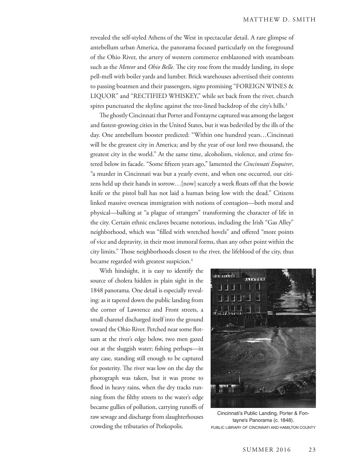revealed the self-styled Athens of the West in spectacular detail. A rare glimpse of antebellum urban America, the panorama focused particularly on the foreground of the Ohio River, the artery of western commerce emblazoned with steamboats such as the *Meteor* and *Ohio Belle.* The city rose from the muddy landing, its slope pell-mell with boiler yards and lumber. Brick warehouses advertised their contents to passing boatmen and their passengers, signs promising "FOREIGN WINES & LIQUOR" and "RECTIFIED WHISKEY," while set back from the river, church spires punctuated the skyline against the tree-lined backdrop of the city's hills.<sup>3</sup>

The ghostly Cincinnati that Porter and Fontayne captured was among the largest and fastest-growing cities in the United States, but it was bedeviled by the ills of the day. One antebellum booster predicted: "Within one hundred years…Cincinnati will be the greatest city in America; and by the year of our lord two thousand, the greatest city in the world." At the same time, alcoholism, violence, and crime festered below its facade. "Some fifteen years ago," lamented the *Cincinnati Enquirer*, "a murder in Cincinnati was but a yearly event, and when one occurred, our citizens held up their hands in sorrow…[now] scarcely a week floats off that the bowie knife or the pistol ball has not laid a human being low with the dead." Citizens linked massive overseas immigration with notions of contagion—both moral and physical—balking at "a plague of strangers" transforming the character of life in the city. Certain ethnic enclaves became notorious, including the Irish "Gas Alley" neighborhood, which was "filled with wretched hovels" and offered "more points of vice and depravity, in their most immoral forms, than any other point within the city limits." Those neighborhoods closest to the river, the lifeblood of the city, thus became regarded with greatest suspicion.<sup>4</sup>

With hindsight, it is easy to identify the source of cholera hidden in plain sight in the 1848 panorama. One detail is especially revealing: as it tapered down the public landing from the corner of Lawrence and Front streets, a small channel discharged itself into the ground toward the Ohio River. Perched near some flotsam at the river's edge below, two men gazed out at the sluggish water; fishing perhaps—in any case, standing still enough to be captured for posterity. The river was low on the day the photograph was taken, but it was prone to flood in heavy rains, when the dry tracks running from the filthy streets to the water's edge became gullies of pollution, carrying runoffs of raw sewage and discharge from slaughterhouses crowding the tributaries of Porkopolis.



Cincinnati's Public Landing, Porter & Fontayne's Panorama (c. 1848). PUBLIC LIBRARY OF CINCINNATI AND HAMILTON COUNTY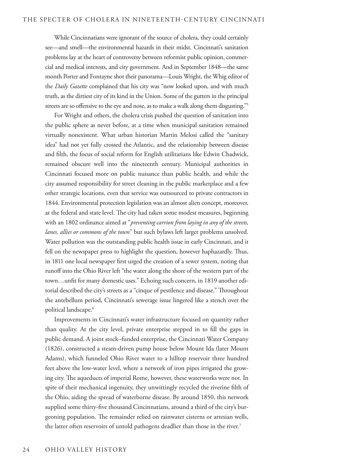While Cincinnatians were ignorant of the source of cholera, they could certainly see—and smell—the environmental hazards in their midst. Cincinnati's sanitation problems lay at the heart of controversy between reformist public opinion, commercial and medical interests, and city government. And in September 1848—the same month Porter and Fontayne shot their panorama—Louis Wright, the Whig editor of the *Daily Gazette* complained that his city was "now looked upon, and with much truth, as the dirtiest city of its kind in the Union. Some of the gutters in the principal streets are so offensive to the eye and nose, as to make a walk along them disgusting."<sup>5</sup>

For Wright and others, the cholera crisis pushed the question of sanitation into the public sphere as never before, at a time when municipal sanitation remained virtually nonexistent. What urban historian Martin Melosi called the "sanitary idea" had not yet fully crossed the Atlantic, and the relationship between disease and filth, the focus of social reform for English utilitarians like Edwin Chadwick, remained obscure well into the nineteenth century. Municipal authorities in Cincinnati focused more on public nuisance than public health, and while the city assumed responsibility for street cleaning in the public marketplace and a few other strategic locations, even that service was outsourced to private contractors in 1844. Environmental protection legislation was an almost alien concept, moreover, at the federal and state level. The city had taken some modest measures, beginning with an 1802 ordinance aimed at "*preventing carrion from laying in any of the streets, lanes, allies or commons of the town*" but such bylaws left larger problems unsolved. Water pollution was the outstanding public health issue in early Cincinnati, and it fell on the newspaper press to highlight the question, however haphazardly. Thus, in 1811 one local newspaper first urged the creation of a sewer system, noting that runoff into the Ohio River left "the water along the shore of the western part of the town…unfit for many domestic uses." Echoing such concern, in 1819 another editorial described the city's streets as a "cinque of pestilence and disease." Throughout the antebellum period, Cincinnati's sewerage issue lingered like a stench over the political landscape.<sup>6</sup>

Improvements in Cincinnati's water infrastructure focused on quantity rather than quality. At the city level, private enterprise stepped in to fill the gaps in public demand. A joint stock–funded enterprise, the Cincinnati Water Company (1826), constructed a steam-driven pump house below Mount Ida (later Mount Adams), which funneled Ohio River water to a hilltop reservoir three hundred feet above the low-water level, where a network of iron pipes irrigated the growing city. The aqueducts of imperial Rome, however, these waterworks were not. In spite of their mechanical ingenuity, they unwittingly recycled the riverine filth of the Ohio, aiding the spread of waterborne disease. By around 1850, this network supplied some thirty-five thousand Cincinnatians, around a third of the city's burgeoning population. The remainder relied on rainwater cisterns or artesian wells, the latter often reservoirs of untold pathogens deadlier than those in the river.<sup>7</sup>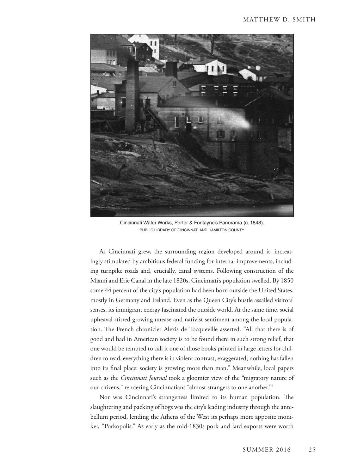

Cincinnati Water Works, Porter & Fontayne's Panorama (c. 1848). PUBLIC LIBRARY OF CINCINNATI AND HAMILTON COUNTY

As Cincinnati grew, the surrounding region developed around it, increasingly stimulated by ambitious federal funding for internal improvements, including turnpike roads and, crucially, canal systems. Following construction of the Miami and Erie Canal in the late 1820s, Cincinnati's population swelled. By 1850 some 44 percent of the city's population had been born outside the United States, mostly in Germany and Ireland. Even as the Queen City's bustle assailed visitors' senses, its immigrant energy fascinated the outside world. At the same time, social upheaval stirred growing unease and nativist sentiment among the local population. The French chronicler Alexis de Tocqueville asserted: "All that there is of good and bad in American society is to be found there in such strong relief, that one would be tempted to call it one of those books printed in large letters for children to read; everything there is in violent contrast, exaggerated; nothing has fallen into its final place: society is growing more than man." Meanwhile, local papers such as the *Cincinnati Journal* took a gloomier view of the "migratory nature of our citizens," rendering Cincinnatians "almost strangers to one another."8

Nor was Cincinnati's strangeness limited to its human population. The slaughtering and packing of hogs was the city's leading industry through the antebellum period, lending the Athens of the West its perhaps more apposite moniker, "Porkopolis." As early as the mid-1830s pork and lard exports were worth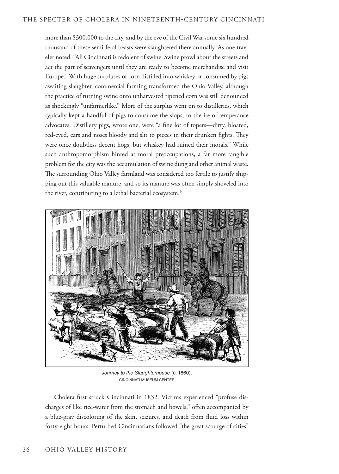more than \$300,000 to the city, and by the eve of the Civil War some six hundred thousand of these semi-feral beasts were slaughtered there annually. As one traveler noted: "All Cincinnati is redolent of swine. Swine prowl about the streets and act the part of scavengers until they are ready to become merchandise and visit Europe." With huge surpluses of corn distilled into whiskey or consumed by pigs awaiting slaughter, commercial farming transformed the Ohio Valley, although the practice of turning swine onto unharvested ripened corn was still denounced as shockingly "unfarmerlike." More of the surplus went on to distilleries, which typically kept a handful of pigs to consume the slops, to the ire of temperance advocates. Distillery pigs, wrote one, were "a fine lot of topers—dirty, bloated, red-eyed, ears and noses bloody and slit to pieces in their drunken fights. They were once doubtless decent hogs, but whiskey had ruined their morals." While such anthropomorphism hinted at moral preoccupations, a far more tangible problem for the city was the accumulation of swine dung and other animal waste. The surrounding Ohio Valley farmland was considered too fertile to justify shipping out this valuable manure, and so its manure was often simply shoveled into the river, contributing to a lethal bacterial ecosystem.<sup>9</sup>



*Journey to the Slaughterhouse* (c. 1860). CINCINNATI MUSEUM CENTER

Cholera first struck Cincinnati in 1832. Victims experienced "profuse discharges of like rice-water from the stomach and bowels," often accompanied by a blue-gray discoloring of the skin, seizures, and death from fluid loss within forty-eight hours. Perturbed Cincinnatians followed "the great scourge of cities"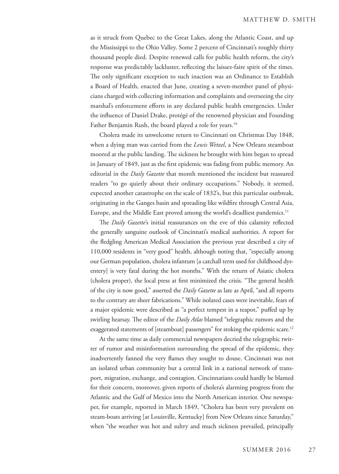as it struck from Quebec to the Great Lakes, along the Atlantic Coast, and up the Mississippi to the Ohio Valley. Some 2 percent of Cincinnati's roughly thirty thousand people died. Despite renewed calls for public health reform, the city's response was predictably lackluster, reflecting the laissez-faire spirit of the times. The only significant exception to such inaction was an Ordinance to Establish a Board of Health, enacted that June, creating a seven-member panel of physicians charged with collecting information and complaints and overseeing the city marshal's enforcement efforts in any declared public health emergencies. Under the influence of Daniel Drake, protégé of the renowned physician and Founding Father Benjamin Rush, the board played a role for years.<sup>10</sup>

Cholera made its unwelcome return to Cincinnati on Christmas Day 1848, when a dying man was carried from the *Lewis Wetzel*, a New Orleans steamboat moored at the public landing. The sickness he brought with him began to spread in January of 1849, just as the first epidemic was fading from public memory. An editorial in the *Daily Gazette* that month mentioned the incident but reassured readers "to go quietly about their ordinary occupations." Nobody, it seemed, expected another catastrophe on the scale of 1832's, but this particular outbreak, originating in the Ganges basin and spreading like wildfire through Central Asia, Europe, and the Middle East proved among the world's deadliest pandemics.<sup>11</sup>

The *Daily Gazette*'s initial reassurances on the eve of this calamity reflected the generally sanguine outlook of Cincinnati's medical authorities. A report for the fledgling American Medical Association the previous year described a city of 110,000 residents in "very good" health, although noting that, "especially among our German population, cholera infantum [a catchall term used for childhood dysentery] is very fatal during the hot months." With the return of Asiatic cholera (cholera proper), the local press at first minimized the crisis. "The general health of the city is now good," asserted the *Daily Gazette* as late as April, "and all reports to the contrary are sheer fabrications." While isolated cases were inevitable, fears of a major epidemic were described as "a perfect tempest in a teapot," puffed up by swirling hearsay. The editor of the *Daily Atlas* blamed "telegraphic rumors and the exaggerated statements of [steamboat] passengers" for stoking the epidemic scare.<sup>12</sup>

At the same time as daily commercial newspapers decried the telegraphic twitter of rumor and misinformation surrounding the spread of the epidemic, they inadvertently fanned the very flames they sought to douse. Cincinnati was not an isolated urban community but a central link in a national network of transport, migration, exchange, and contagion. Cincinnatians could hardly be blamed for their concern, moreover, given reports of cholera's alarming progress from the Atlantic and the Gulf of Mexico into the North American interior. One newspaper, for example, reported in March 1849, "Cholera has been very prevalent on steam-boats arriving [at Louisville, Kentucky] from New Orleans since Saturday," when "the weather was hot and sultry and much sickness prevailed, principally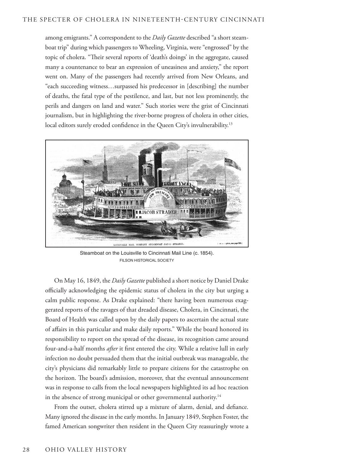among emigrants." A correspondent to the *Daily Gazette* described "a short steamboat trip" during which passengers to Wheeling, Virginia, were "engrossed" by the topic of cholera. "Their several reports of 'death's doings' in the aggregate, caused many a countenance to bear an expression of uneasiness and anxiety," the report went on. Many of the passengers had recently arrived from New Orleans, and "each succeeding witness…surpassed his predecessor in [describing] the number of deaths, the fatal type of the pestilence, and last, but not less prominently, the perils and dangers on land and water." Such stories were the grist of Cincinnati journalism, but in highlighting the river-borne progress of cholera in other cities, local editors surely eroded confidence in the Queen City's invulnerability.<sup>13</sup>



Steamboat on the Louisville to Cincinnati Mail Line (c. 1854). FILSON HISTORICAL SOCIETY

On May 16, 1849, the *Daily Gazette* published a short notice by Daniel Drake officially acknowledging the epidemic status of cholera in the city but urging a calm public response. As Drake explained: "there having been numerous exaggerated reports of the ravages of that dreaded disease, Cholera, in Cincinnati, the Board of Health was called upon by the daily papers to ascertain the actual state of affairs in this particular and make daily reports." While the board honored its responsibility to report on the spread of the disease, its recognition came around four-and-a-half months *after* it first entered the city. While a relative lull in early infection no doubt persuaded them that the initial outbreak was manageable, the city's physicians did remarkably little to prepare citizens for the catastrophe on the horizon. The board's admission, moreover, that the eventual announcement was in response to calls from the local newspapers highlighted its ad hoc reaction in the absence of strong municipal or other governmental authority.<sup>14</sup>

From the outset, cholera stirred up a mixture of alarm, denial, and defiance. Many ignored the disease in the early months. In January 1849, Stephen Foster, the famed American songwriter then resident in the Queen City reassuringly wrote a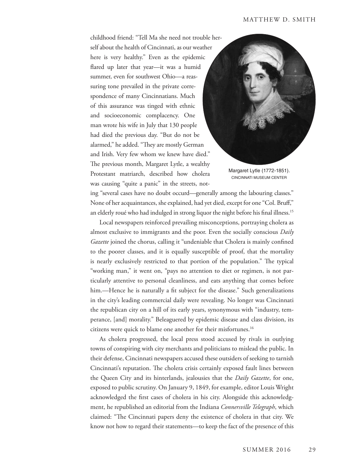childhood friend: "Tell Ma she need not trouble herself about the health of Cincinnati, as our weather here is very healthy." Even as the epidemic flared up later that year—it was a humid summer, even for southwest Ohio—a reassuring tone prevailed in the private correspondence of many Cincinnatians. Much of this assurance was tinged with ethnic and socioeconomic complacency. One man wrote his wife in July that 130 people had died the previous day. "But do not be alarmed," he added. "They are mostly German and Irish. Very few whom we knew have died." The previous month, Margaret Lytle, a wealthy Protestant matriarch, described how cholera was causing "quite a panic" in the streets, not-



Margaret Lytle (1772-1851). CINCINNATI MUSEUM CENTER

ing "several cases have no doubt occurd—generally among the labouring classes." None of her acquaintances, she explained, had yet died, except for one "Col. Bruff," an elderly roué who had indulged in strong liquor the night before his final illness.<sup>15</sup>

Local newspapers reinforced prevailing misconceptions, portraying cholera as almost exclusive to immigrants and the poor. Even the socially conscious *Daily Gazette* joined the chorus, calling it "undeniable that Cholera is mainly confined to the poorer classes, and it is equally susceptible of proof, that the mortality is nearly exclusively restricted to that portion of the population." The typical "working man," it went on, "pays no attention to diet or regimen, is not particularly attentive to personal cleanliness, and eats anything that comes before him.—Hence he is naturally a fit subject for the disease." Such generalizations in the city's leading commercial daily were revealing. No longer was Cincinnati the republican city on a hill of its early years, synonymous with "industry, temperance, [and] morality." Beleaguered by epidemic disease and class division, its citizens were quick to blame one another for their misfortunes.16

As cholera progressed, the local press stood accused by rivals in outlying towns of conspiring with city merchants and politicians to mislead the public. In their defense, Cincinnati newspapers accused these outsiders of seeking to tarnish Cincinnati's reputation. The cholera crisis certainly exposed fault lines between the Queen City and its hinterlands, jealousies that the *Daily Gazette*, for one, exposed to public scrutiny. On January 9, 1849, for example, editor Louis Wright acknowledged the first cases of cholera in his city. Alongside this acknowledgment, he republished an editorial from the Indiana *Connersville Telegraph*, which claimed: "The Cincinnati papers deny the existence of cholera in that city. We know not how to regard their statements—to keep the fact of the presence of this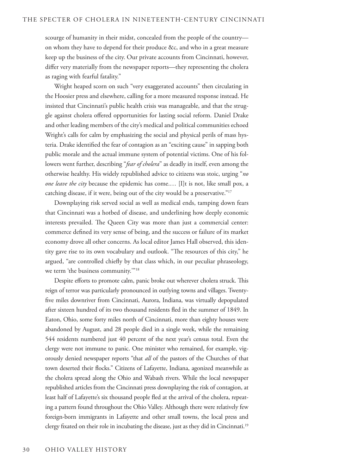scourge of humanity in their midst, concealed from the people of the country on whom they have to depend for their produce &c, and who in a great measure keep up the business of the city. Our private accounts from Cincinnati, however, differ very materially from the newspaper reports—they representing the cholera as raging with fearful fatality."

Wright heaped scorn on such "very exaggerated accounts" then circulating in the Hoosier press and elsewhere, calling for a more measured response instead. He insisted that Cincinnati's public health crisis was manageable, and that the struggle against cholera offered opportunities for lasting social reform. Daniel Drake and other leading members of the city's medical and political communities echoed Wright's calls for calm by emphasizing the social and physical perils of mass hysteria. Drake identified the fear of contagion as an "exciting cause" in sapping both public morale and the actual immune system of potential victims. One of his followers went further, describing "*fear of cholera*" as deadly in itself, even among the otherwise healthy. His widely republished advice to citizens was stoic, urging "*no one leave the city* because the epidemic has come.… [I]t is not, like small pox, a catching disease, if it were, being out of the city would be a preservative."<sup>17</sup>

Downplaying risk served social as well as medical ends, tamping down fears that Cincinnati was a hotbed of disease, and underlining how deeply economic interests prevailed. The Queen City was more than just a commercial center: commerce defined its very sense of being, and the success or failure of its market economy drove all other concerns. As local editor James Hall observed, this identity gave rise to its own vocabulary and outlook. "The resources of this city," he argued, "are controlled chiefly by that class which, in our peculiar phraseology, we term 'the business community.'"18

Despite efforts to promote calm, panic broke out wherever cholera struck. This reign of terror was particularly pronounced in outlying towns and villages. Twentyfive miles downriver from Cincinnati, Aurora, Indiana, was virtually depopulated after sixteen hundred of its two thousand residents fled in the summer of 1849. In Eaton, Ohio, some forty miles north of Cincinnati, more than eighty houses were abandoned by August, and 28 people died in a single week, while the remaining 544 residents numbered just 40 percent of the next year's census total. Even the clergy were not immune to panic. One minister who remained, for example, vigorously denied newspaper reports "that *all* of the pastors of the Churches of that town deserted their flocks." Citizens of Lafayette, Indiana, agonized meanwhile as the cholera spread along the Ohio and Wabash rivers. While the local newspaper republished articles from the Cincinnati press downplaying the risk of contagion, at least half of Lafayette's six thousand people fled at the arrival of the cholera, repeating a pattern found throughout the Ohio Valley. Although there were relatively few foreign-born immigrants in Lafayette and other small towns, the local press and clergy fixated on their role in incubating the disease, just as they did in Cincinnati.19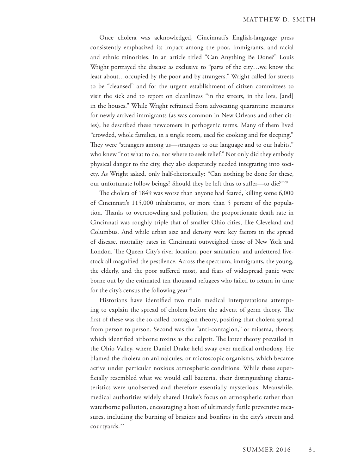Once cholera was acknowledged, Cincinnati's English-language press consistently emphasized its impact among the poor, immigrants, and racial and ethnic minorities. In an article titled "Can Anything Be Done?" Louis Wright portrayed the disease as exclusive to "parts of the city…we know the least about…occupied by the poor and by strangers." Wright called for streets to be "cleansed" and for the urgent establishment of citizen committees to visit the sick and to report on cleanliness "in the streets, in the lots, [and] in the houses." While Wright refrained from advocating quarantine measures for newly arrived immigrants (as was common in New Orleans and other cities), he described these newcomers in pathogenic terms. Many of them lived "crowded, whole families, in a single room, used for cooking and for sleeping." They were "strangers among us—strangers to our language and to our habits," who knew "not what to do, nor where to seek relief." Not only did they embody physical danger to the city, they also desperately needed integrating into society. As Wright asked, only half-rhetorically: "Can nothing be done for these, our unfortunate follow beings? Should they be left thus to suffer—to die?"20

The cholera of 1849 was worse than anyone had feared, killing some 6,000 of Cincinnati's 115,000 inhabitants, or more than 5 percent of the population. Thanks to overcrowding and pollution, the proportionate death rate in Cincinnati was roughly triple that of smaller Ohio cities, like Cleveland and Columbus. And while urban size and density were key factors in the spread of disease, mortality rates in Cincinnati outweighed those of New York and London. The Queen City's river location, poor sanitation, and unfettered livestock all magnified the pestilence. Across the spectrum, immigrants, the young, the elderly, and the poor suffered most, and fears of widespread panic were borne out by the estimated ten thousand refugees who failed to return in time for the city's census the following year. $21$ 

Historians have identified two main medical interpretations attempting to explain the spread of cholera before the advent of germ theory. The first of these was the so-called contagion theory, positing that cholera spread from person to person. Second was the "anti-contagion," or miasma, theory, which identified airborne toxins as the culprit. The latter theory prevailed in the Ohio Valley, where Daniel Drake held sway over medical orthodoxy. He blamed the cholera on animalcules, or microscopic organisms, which became active under particular noxious atmospheric conditions. While these superficially resembled what we would call bacteria, their distinguishing characteristics were unobserved and therefore essentially mysterious. Meanwhile, medical authorities widely shared Drake's focus on atmospheric rather than waterborne pollution, encouraging a host of ultimately futile preventive measures, including the burning of braziers and bonfires in the city's streets and courtyards.22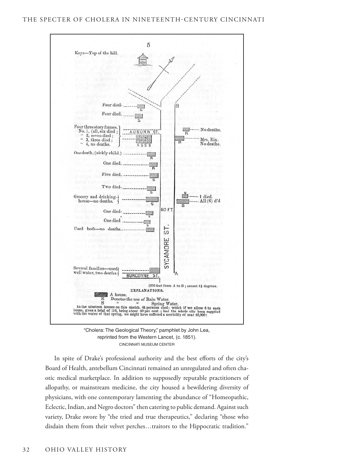

"Cholera: The Geological Theory," pamphlet by John Lea, reprinted from the Western Lancet, (c. 1851). CINCINNATI MUSEUM CENTER

In spite of Drake's professional authority and the best efforts of the city's Board of Health, antebellum Cincinnati remained an unregulated and often chaotic medical marketplace. In addition to supposedly reputable practitioners of allopathy, or mainstream medicine, the city housed a bewildering diversity of physicians, with one contemporary lamenting the abundance of "Homeopathic, Eclectic, Indian, and Negro doctors" then catering to public demand. Against such variety, Drake swore by "the tried and true therapeutics," declaring "those who disdain them from their velvet perches…traitors to the Hippocratic tradition."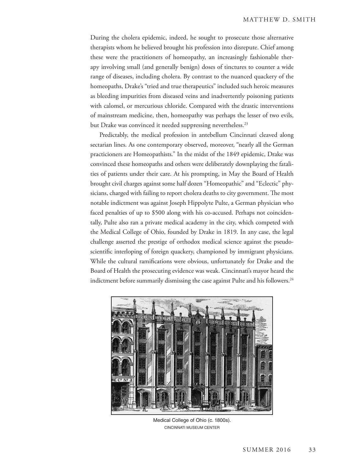During the cholera epidemic, indeed, he sought to prosecute those alternative therapists whom he believed brought his profession into disrepute. Chief among these were the practitioners of homeopathy, an increasingly fashionable therapy involving small (and generally benign) doses of tinctures to counter a wide range of diseases, including cholera. By contrast to the nuanced quackery of the homeopaths, Drake's "tried and true therapeutics" included such heroic measures as bleeding impurities from diseased veins and inadvertently poisoning patients with calomel, or mercurious chloride. Compared with the drastic interventions of mainstream medicine, then, homeopathy was perhaps the lesser of two evils, but Drake was convinced it needed suppressing nevertheless.<sup>23</sup>

Predictably, the medical profession in antebellum Cincinnati cleaved along sectarian lines. As one contemporary observed, moreover, "nearly all the German practicioners are Homeopathists." In the midst of the 1849 epidemic, Drake was convinced these homeopaths and others were deliberately downplaying the fatalities of patients under their care. At his prompting, in May the Board of Health brought civil charges against some half dozen "Homeopathic" and "Eclectic" physicians, charged with failing to report cholera deaths to city government. The most notable indictment was against Joseph Hippolyte Pulte, a German physician who faced penalties of up to \$500 along with his co-accused. Perhaps not coincidentally, Pulte also ran a private medical academy in the city, which competed with the Medical College of Ohio, founded by Drake in 1819. In any case, the legal challenge asserted the prestige of orthodox medical science against the pseudoscientific interloping of foreign quackery, championed by immigrant physicians. While the cultural ramifications were obvious, unfortunately for Drake and the Board of Health the prosecuting evidence was weak. Cincinnati's mayor heard the indictment before summarily dismissing the case against Pulte and his followers.<sup>24</sup>



Medical College of Ohio (c. 1800s). CINCINNATI MUSEUM CENTER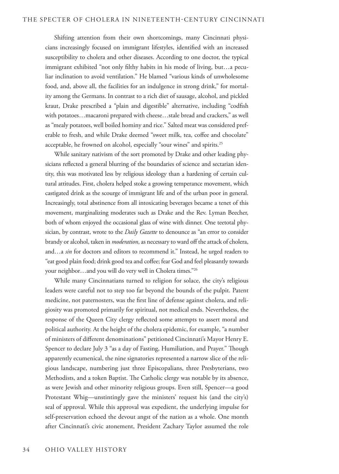Shifting attention from their own shortcomings, many Cincinnati physicians increasingly focused on immigrant lifestyles, identified with an increased susceptibility to cholera and other diseases. According to one doctor, the typical immigrant exhibited "not only filthy habits in his mode of living, but…a peculiar inclination to avoid ventilation." He blamed "various kinds of unwholesome food, and, above all, the facilities for an indulgence in strong drink," for mortality among the Germans. In contrast to a rich diet of sausage, alcohol, and pickled kraut, Drake prescribed a "plain and digestible" alternative, including "codfish with potatoes…macaroni prepared with cheese…stale bread and crackers," as well as "mealy potatoes, well boiled hominy and rice." Salted meat was considered preferable to fresh, and while Drake deemed "sweet milk, tea, coffee and chocolate" acceptable, he frowned on alcohol, especially "sour wines" and spirits.<sup>25</sup>

While sanitary nativism of the sort promoted by Drake and other leading physicians reflected a general blurring of the boundaries of science and sectarian identity, this was motivated less by religious ideology than a hardening of certain cultural attitudes. First, cholera helped stoke a growing temperance movement, which castigated drink as the scourge of immigrant life and of the urban poor in general. Increasingly, total abstinence from all intoxicating beverages became a tenet of this movement, marginalizing moderates such as Drake and the Rev. Lyman Beecher, both of whom enjoyed the occasional glass of wine with dinner. One teetotal physician, by contrast, wrote to the *Daily Gazette* to denounce as "an error to consider brandy or alcohol, taken in *moderation*, as necessary to ward off the attack of cholera, and…a *sin* for doctors and editors to recommend it." Instead, he urged readers to "eat good plain food; drink good tea and coffee; fear God and feel pleasantly towards your neighbor…and you will do very well in Cholera times."26

While many Cincinnatians turned to religion for solace, the city's religious leaders were careful not to step too far beyond the bounds of the pulpit. Patent medicine, not paternosters, was the first line of defense against cholera, and religiosity was promoted primarily for spiritual, not medical ends. Nevertheless, the response of the Queen City clergy reflected some attempts to assert moral and political authority. At the height of the cholera epidemic, for example, "a number of ministers of different denominations" petitioned Cincinnati's Mayor Henry E. Spencer to declare July 3 "as a day of Fasting, Humiliation, and Prayer." Though apparently ecumenical, the nine signatories represented a narrow slice of the religious landscape, numbering just three Episcopalians, three Presbyterians, two Methodists, and a token Baptist. The Catholic clergy was notable by its absence, as were Jewish and other minority religious groups. Even still, Spencer—a good Protestant Whig—unstintingly gave the ministers' request his (and the city's) seal of approval. While this approval was expedient, the underlying impulse for self-preservation echoed the devout angst of the nation as a whole. One month after Cincinnati's civic atonement, President Zachary Taylor assumed the role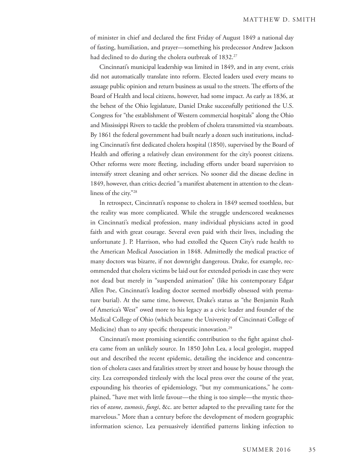of minister in chief and declared the first Friday of August 1849 a national day of fasting, humiliation, and prayer—something his predecessor Andrew Jackson had declined to do during the cholera outbreak of 1832.<sup>27</sup>

Cincinnati's municipal leadership was limited in 1849, and in any event, crisis did not automatically translate into reform. Elected leaders used every means to assuage public opinion and return business as usual to the streets. The efforts of the Board of Health and local citizens, however, had some impact. As early as 1836, at the behest of the Ohio legislature, Daniel Drake successfully petitioned the U.S. Congress for "the establishment of Western commercial hospitals" along the Ohio and Mississippi Rivers to tackle the problem of cholera transmitted via steamboats. By 1861 the federal government had built nearly a dozen such institutions, including Cincinnati's first dedicated cholera hospital (1850), supervised by the Board of Health and offering a relatively clean environment for the city's poorest citizens. Other reforms were more fleeting, including efforts under board supervision to intensify street cleaning and other services. No sooner did the disease decline in 1849, however, than critics decried "a manifest abatement in attention to the cleanliness of the city."28

In retrospect, Cincinnati's response to cholera in 1849 seemed toothless, but the reality was more complicated. While the struggle underscored weaknesses in Cincinnati's medical profession, many individual physicians acted in good faith and with great courage. Several even paid with their lives, including the unfortunate J. P. Harrison, who had extolled the Queen City's rude health to the American Medical Association in 1848. Admittedly the medical practice of many doctors was bizarre, if not downright dangerous. Drake, for example, recommended that cholera victims be laid out for extended periods in case they were not dead but merely in "suspended animation" (like his contemporary Edgar Allen Poe, Cincinnati's leading doctor seemed morbidly obsessed with premature burial). At the same time, however, Drake's status as "the Benjamin Rush of America's West" owed more to his legacy as a civic leader and founder of the Medical College of Ohio (which became the University of Cincinnati College of Medicine) than to any specific therapeutic innovation.<sup>29</sup>

Cincinnati's most promising scientific contribution to the fight against cholera came from an unlikely source. In 1850 John Lea, a local geologist, mapped out and described the recent epidemic, detailing the incidence and concentration of cholera cases and fatalities street by street and house by house through the city. Lea corresponded tirelessly with the local press over the course of the year, expounding his theories of epidemiology, "but my communications," he complained, "have met with little favour—the thing is too simple—the mystic theories of *ozone*, *zumosis*, *fungi*, &c. are better adapted to the prevailing taste for the marvelous." More than a century before the development of modern geographic information science, Lea persuasively identified patterns linking infection to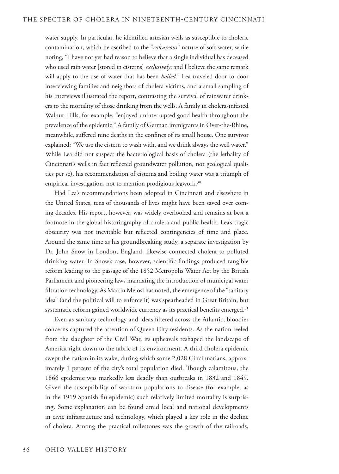water supply. In particular, he identified artesian wells as susceptible to choleric contamination, which he ascribed to the "*calcareous*" nature of soft water, while noting, "I have not yet had reason to believe that a single individual has deceased who used rain water [stored in cisterns] *exclusively*; and I believe the same remark will apply to the use of water that has been *boiled*." Lea traveled door to door interviewing families and neighbors of cholera victims, and a small sampling of his interviews illustrated the report, contrasting the survival of rainwater drinkers to the mortality of those drinking from the wells. A family in cholera-infested Walnut Hills, for example, "enjoyed uninterrupted good health throughout the prevalence of the epidemic." A family of German immigrants in Over-the-Rhine, meanwhile, suffered nine deaths in the confines of its small house. One survivor explained: "We use the cistern to wash with, and we drink always the well water." While Lea did not suspect the bacteriological basis of cholera (the lethality of Cincinnati's wells in fact reflected groundwater pollution, not geological qualities per se), his recommendation of cisterns and boiling water was a triumph of empirical investigation, not to mention prodigious legwork.<sup>30</sup>

Had Lea's recommendations been adopted in Cincinnati and elsewhere in the United States, tens of thousands of lives might have been saved over coming decades. His report, however, was widely overlooked and remains at best a footnote in the global historiography of cholera and public health. Lea's tragic obscurity was not inevitable but reflected contingencies of time and place. Around the same time as his groundbreaking study, a separate investigation by Dr. John Snow in London, England, likewise connected cholera to polluted drinking water. In Snow's case, however, scientific findings produced tangible reform leading to the passage of the 1852 Metropolis Water Act by the British Parliament and pioneering laws mandating the introduction of municipal water filtration technology. As Martin Melosi has noted, the emergence of the "sanitary idea" (and the political will to enforce it) was spearheaded in Great Britain, but systematic reform gained worldwide currency as its practical benefits emerged.<sup>31</sup>

Even as sanitary technology and ideas filtered across the Atlantic, bloodier concerns captured the attention of Queen City residents. As the nation reeled from the slaughter of the Civil War, its upheavals reshaped the landscape of America right down to the fabric of its environment. A third cholera epidemic swept the nation in its wake, during which some 2,028 Cincinnatians, approximately 1 percent of the city's total population died. Though calamitous, the 1866 epidemic was markedly less deadly than outbreaks in 1832 and 1849. Given the susceptibility of war-torn populations to disease (for example, as in the 1919 Spanish flu epidemic) such relatively limited mortality is surprising. Some explanation can be found amid local and national developments in civic infrastructure and technology, which played a key role in the decline of cholera. Among the practical milestones was the growth of the railroads,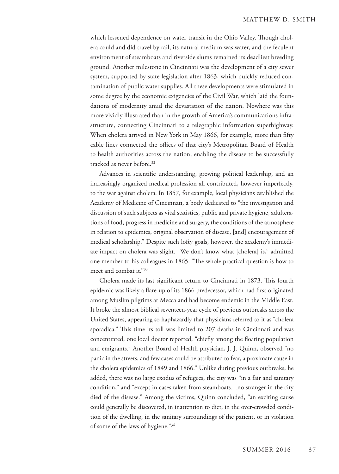which lessened dependence on water transit in the Ohio Valley. Though cholera could and did travel by rail, its natural medium was water, and the feculent environment of steamboats and riverside slums remained its deadliest breeding ground. Another milestone in Cincinnati was the development of a city sewer system, supported by state legislation after 1863, which quickly reduced contamination of public water supplies. All these developments were stimulated in some degree by the economic exigencies of the Civil War, which laid the foundations of modernity amid the devastation of the nation. Nowhere was this more vividly illustrated than in the growth of America's communications infrastructure, connecting Cincinnati to a telegraphic information superhighway. When cholera arrived in New York in May 1866, for example, more than fifty cable lines connected the offices of that city's Metropolitan Board of Health to health authorities across the nation, enabling the disease to be successfully tracked as never before.32

Advances in scientific understanding, growing political leadership, and an increasingly organized medical profession all contributed, however imperfectly, to the war against cholera. In 1857, for example, local physicians established the Academy of Medicine of Cincinnati, a body dedicated to "the investigation and discussion of such subjects as vital statistics, public and private hygiene, adulterations of food, progress in medicine and surgery, the conditions of the atmosphere in relation to epidemics, original observation of disease, [and] encouragement of medical scholarship." Despite such lofty goals, however, the academy's immediate impact on cholera was slight. "We don't know what [cholera] is," admitted one member to his colleagues in 1865. "The whole practical question is how to meet and combat it."33

Cholera made its last significant return to Cincinnati in 1873. This fourth epidemic was likely a flare-up of its 1866 predecessor, which had first originated among Muslim pilgrims at Mecca and had become endemic in the Middle East. It broke the almost biblical seventeen-year cycle of previous outbreaks across the United States, appearing so haphazardly that physicians referred to it as "cholera sporadica." This time its toll was limited to 207 deaths in Cincinnati and was concentrated, one local doctor reported, "chiefly among the floating population and emigrants." Another Board of Health physician, J. J. Quinn, observed "no panic in the streets, and few cases could be attributed to fear, a proximate cause in the cholera epidemics of 1849 and 1866." Unlike during previous outbreaks, he added, there was no large exodus of refugees, the city was "in a fair and sanitary condition," and "except in cases taken from steamboats…no stranger in the city died of the disease." Among the victims, Quinn concluded, "an exciting cause could generally be discovered, in inattention to diet, in the over-crowded condition of the dwelling, in the sanitary surroundings of the patient, or in violation of some of the laws of hygiene."34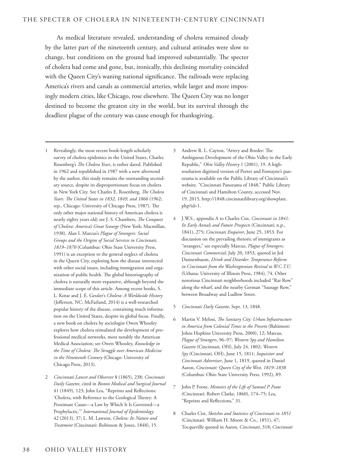As medical literature revealed, understanding of cholera remained cloudy by the latter part of the nineteenth century, and cultural attitudes were slow to change, but conditions on the ground had improved substantially. The specter of cholera had come and gone, but, ironically, this declining mortality coincided with the Queen City's waning national significance. The railroads were replacing America's rivers and canals as commercial arteries, while larger and more imposingly modern cities, like Chicago, rose elsewhere. The Queen City was no longer destined to become the greatest city in the world, but its survival through the deadliest plague of the century was cause enough for thanksgiving.

- 1 Revealingly, the most recent book-length scholarly survey of cholera epidemics in the United States, Charles Rosenberg's *The Cholera Years*, is rather dated. Published in 1962 and republished in 1987 with a new afterword by the author, this study remains the outstanding secondary source, despite its disproportionate focus on cholera in New York City. See Charles E. Rosenberg, *The Cholera Years: The United States in 1832, 1849, and 1866* (1962; rep., Chicago: University of Chicago Press, 1987). The only other major national history of American cholera is nearly eighty years old; see J. S. Chambers, *The Conquest of Cholera: America's Great Scourge* (New York: Macmillan, 1938). Alan I. Marcus's *Plague of Strangers: Social Groups and the Origins of Social Services in Cincinnati, 1819–1870* (Columbus: Ohio State University Press, 1991) is an exception to the general neglect of cholera in the Queen City, exploring how the disease intersected with other social issues, including immigration and organization of public health. The global historiography of cholera is naturally more expansive, although beyond the immediate scope of this article. Among recent books, S. L. Kotar and J. E. Gessler's *Cholera: A Worldwide History* (Jefferson, NC: McFarland, 2014) is a well-researched popular history of the disease, containing much information on the United States, despite its global focus. Finally, a new book on cholera by sociologist Owen Whooley explores how cholera stimulated the development of professional medical networks, most notably the American Medical Association; see Owen Whooley, *Knowledge in the Time of Cholera: The Struggle over American Medicine in the Nineteenth Century* (Chicago: University of Chicago Press, 2013).
- 2 *Cincinnati Lancet and Observer* 8 (1865), 238; *Cincinnati Daily Gazette*, cited in *Boston Medical and Surgical Journal* 41 (1849), 123; John Lea, "Reprints and Reflections: 'Cholera, with Reference to the Geological Theory: A Proximate Cause—a Law by Which It Is Governed—a Prophylactic,'" *International Journal of Epidemiology* 42 (2013), 37; L. M. Lawson, *Cholera: Its Nature and Treatment* (Cincinnati: Robinson & Jones, 1848), 15.
- 3 Andrew R. L. Cayton, "Artery and Border: The Ambiguous Development of the Ohio Valley in the Early Republic," *Ohio Valley History* 1 (2001), 19. A highresolution digitized version of Porter and Fontayne's panorama is available on the Public Library of Cincinnati's website. "Cincinnati Panorama of 1848," Public Library of Cincinnati and Hamilton County, accessed Nov. 19, 2015, http://1848.cincinnatilibrary.org/showplate. php?id=1.
- 4 J.W.S., appendix A to Charles Cist, *Cincinnati in 1841: Its Early Annals and Future Prospects* (Cincinnati: n.p., 1841), 275; *Cincinnati Enquirer*, June 25, 1853. For discussion on the prevailing rhetoric of immigrants as "strangers," see especially Marcus, *Plague of Strangers; Cincinnati Commercial*, July 20, 1853, quoted in Jed Dannenbaum, *Drink and Disorder: Temperance Reform in Cincinnati from the Washingtonian Revival to W.C.T.U.*  (Urbana: University of Illinois Press, 1984), 74. Other notorious Cincinnati neighborhoods included "Rat Row" along the wharf, and the nearby German "Sausage Row," between Broadway and Ludlow Street.
- 5 *Cincinnati Daily Gazette*, Sept. 13, 1848.
- 6 Martin V. Melosi, *The Sanitary City: Urban Infrastructure in America from Colonial Times to the Present* (Baltimore: Johns Hopkins University Press, 2000), 12; Marcus, *Plague of Strangers*, 96–97; *Western Spy and Hamilton Gazette* (Cincinnati, OH), July 24, 1802; *Western Spy* (Cincinnati, OH), June 15, 1811; *Inquisitor and Cincinnati Advertiser*, June 1, 1819, quoted in Daniel Aaron, *Cincinnati: Queen City of the West, 1819–1838* (Columbus: Ohio State University Press, 1992), 89.
- 7 John P. Foote, *Memoirs of the Life of Samuel P. Foote* (Cincinnati: Robert Clarke, 1860), 174–75; Lea, "Reprints and Reflections," 31.
- 8 Charles Cist, *Sketches and Statistics of Cincinnati in 1851*  (Cincinnati: William H. Moore & Co., 1851), 47; Tocqueville quoted in Aaron, *Cincinnati*, 318; *Cincinnati*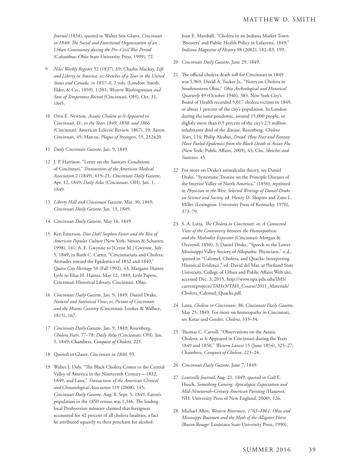*Journal* (1834), quoted in Walter Stix Glazer, *Cincinnati in 1840: The Social and Functional Organization of an Urban Community during the Pre–Civil War Period*  (Columbus: Ohio State University Press, 1999), 72.

- 9 *Niles' Weekly Register* 52 (1837), 69; Charles Mackay, *Life and Liberty in America: or, Sketches of a Tour in the United States and Canada, in 1857–8*, 2 vols. (London: Smith, Elder, & Co., 1859), 1:201; *Western Washingtonian and Sons of Temperance Record* (Cincinnati, OH), Oct. 31, 1845.
- 10 Orin E. Newton, *Asiatic Cholera as It Appeared in Cincinnati, O., in the Years 1849, 1850, and 1866* (Cincinnati: American Eclectic Review, 1867), 10; Aaron, *Cincinnati*, 45; Marcus, *Plague of Strangers*, 55, 252n20.
- 11 *Daily Cincinnati Gazette*, Jan. 9, 1849.
- 12 J. P. Harrison, "Letter on the Sanitary Conditions of Cincinnati," *Transactions of the American Medical Association* 2 (1849), 619–21; *Cincinnati Daily Gazette*, Apr. 12, 1849; *Daily Atlas* (Cincinnati, OH), Jan. 1, 1849.
- 13 *Liberty Hall and Cincinnati Gazette*, Mar. 30, 1849; *Cincinnati Daily Gazette*, Jan. 13, 1849.
- 14 *Cincinnati Daily Gazette*, May 16, 1849.
- 15 Ken Emerson, *Doo-Dah! Stephen Foster and the Rise of American Popular Culture* (New York: Simon & Schuster, 1998), 141; A. E. Gwynne to [Cettie M.] Gwynne, July 5, 1849, in Ruth C. Carter, "Cincinnatians and Cholera: Attitudes toward the Epidemics of 1832 and 1849," *Queen City Heritage* 50 (Fall 1992), 43; Margaret Haines Lytle to Elias H. Haines, May 12, 1849, Lytle Papers, Cincinnati Historical Library, Cincinnati, Ohio.
- 16 *Cincinnati Daily Gazette*, Jan. 9, 1849; Daniel Drake, *Natural and Statistical View*; *or, Picture of Cincinnati and the Miami Country* (Cincinnati: Looker & Wallace, 1815), 167.
- 17 *Cincinnati Daily Gazette*, Jan. 9, 1849; Rosenberg, *Cholera Years,* 77–78; *Daily Atlas* (Cincinnati, OH), Jan. 5, 1849; Chambers, *Conquest of Cholera,* 221.
- 18 Quoted in Glazer, *Cincinnati in 1840*, 93.
- 19 Walter J. Daly, "The Black Cholera Comes to the Central Valley of America in the Nineteenth Century—1832, 1849, and Later," *Transactions of the American Clinical and Climatological Association* 119 (2008), 145; *Cincinnati Daily Gazette*, Aug. 8, Sept. 5, 1849. Eaton's population in the 1850 census was 1,346. The leading local Presbyterian minister claimed that foreigners accounted for 42 percent of all cholera fatalities, a fact he attributed squarely to their penchant for alcohol.

Joan E. Marshall, "Cholera in an Indiana Market Town: 'Boosters' and Public Health Policy in Lafayette, 1849," *Indiana Magazine of History* 98 (2002), 182–83, 199.

- 20 *Cincinnati Daily Gazette*, June 29, 1849.
- 21 The official cholera death toll for Cincinnati in 1849 was 5,969. David A. Tucker Jr., "Notes on Cholera in Southwestern Ohio," *Ohio Archeological and Historical Quarterly* 49 (October 1940), 383. New York City's Board of Health recorded 5,017 cholera victims in 1849, or about 1 percent of the city's population. In London during the same pandemic, around 15,000 people, or slightly more than 0.5 percent of the city's 2.5 million inhabitants died of the disease. Rosenberg, *Cholera Years*, 114; Philip Alcabes, *Dread: How Fear and Fantasy Have Fueled Epidemics from the Black Death to Avian Flu* (New York: Public Affairs, 2009), 65; Cist, *Sketches and Statistics,* 45.
- 22 For more on Drake's animalcular theory, see Daniel Drake, "Systematic Treatise on the Principle Diseases of the Interior Valley of North America," (1850), reprinted in *Physician to the West: Selected Writings of Daniel Drake on Science and Society,* ed. Henry D. Shapiro and Zane L. Miller (Lexington: University Press of Kentucky, 1970), 373–79.
- 23 S. A. Latta, *The Cholera in Cincinnati: or, A Connected View of the Controversy between the Homeopathists and the Methodist Expositor* (Cincinnati: Morgan & Overend, 1850), 3; Daniel Drake, "Speech to the Lower Mississippi Valley Society of Allopathic Physicians," n.d., quoted in "Calomel, Cholera, and Quacks: Interpreting Historical Evidence," ed. David del Mar, at Portland State University, College of Urban and Public Affairs Web site, accessed Dec. 3, 2015, http://www.upa.pdx.edu/IMS/ currentprojects/TAHv3/TAH\_Course/2011\_Materials/ Cholera\_Calomel\_Quacks.pdf.
- 24 Latta, *Cholera in Cincinnati*, 38; *Cincinnati Daily Gazette*, May 25, 1849. For more on homeopathy in Cincinnati, see Kotar and Gessler, *Cholera*, 333–34.
- 25 Thomas C. Carroll, "Observations on the Asiatic Cholera, as It Appeared in Cincinnati during the Years 1849 and 1850," *Western Lancet* 15 (June 1854), 325–27; Chambers, *Conquest of Cholera*, 223–24.
- 26 *Cincinnati Daily Gazette*, June 7, 1849.
- 27 *Louisville Journal*, Aug. 21, 1849, quoted in Gail E. Husch, *Something Coming: Apocalyptic Expectation and Mid-Nineteenth-Century American Painting* (Hanover, NH: University Press of New England, 2000), 126.
- 28 Michael Allen, *Western Rivermen, 1763–1861: Ohio and Mississippi Boatmen and the Myth of the Alligator Horse* (Baton Rouge: Louisiana State University Press, 1990),